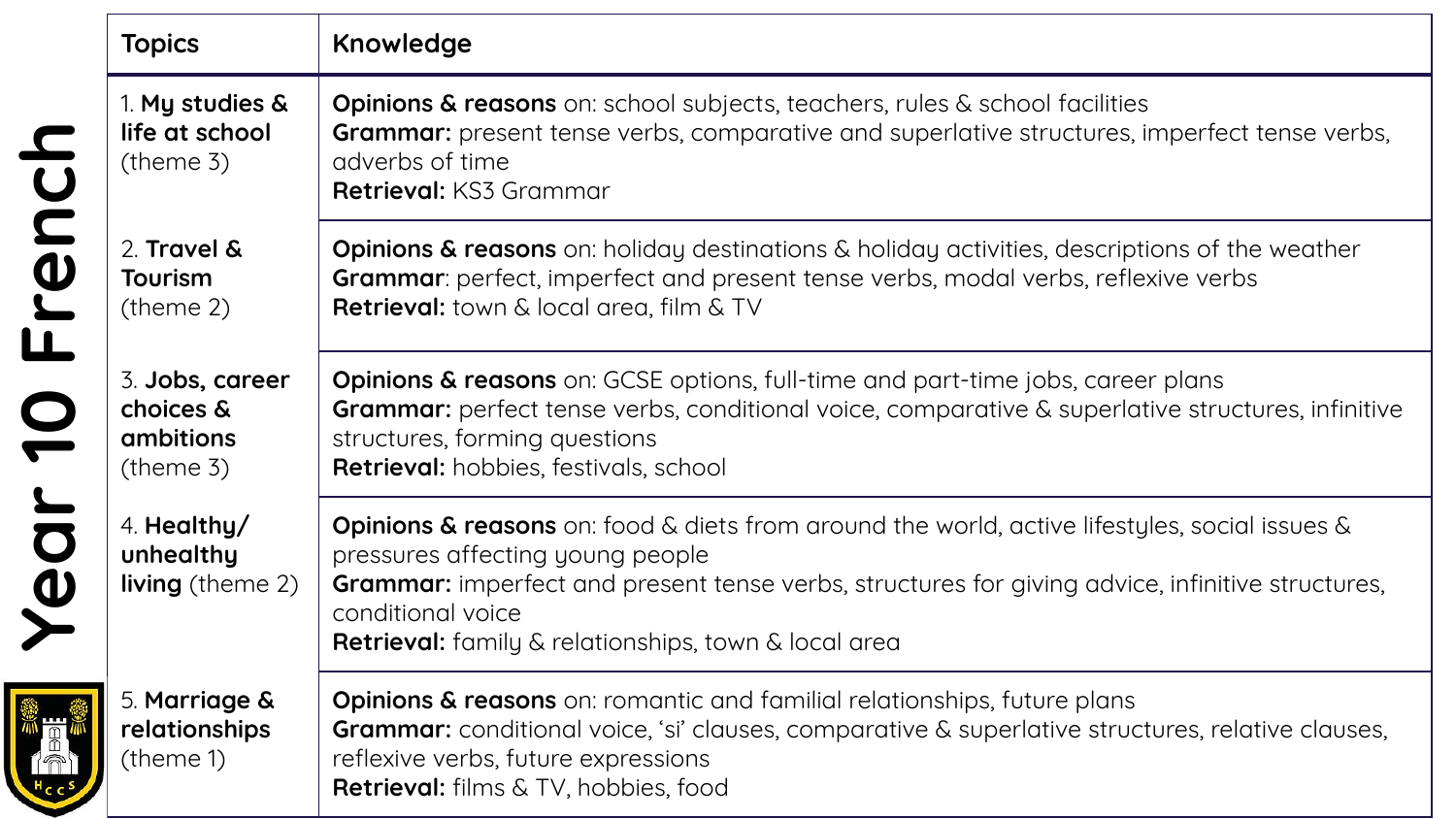|       | <b>Topics</b>                                                | Knowledge                                                                                                                                                                                                                                                                                                                            |
|-------|--------------------------------------------------------------|--------------------------------------------------------------------------------------------------------------------------------------------------------------------------------------------------------------------------------------------------------------------------------------------------------------------------------------|
|       | 1. My studies &<br>life at school<br>$($ theme 3 $)$         | <b>Opinions &amp; reasons</b> on: school subjects, teachers, rules & school facilities<br><b>Grammar:</b> present tense verbs, comparative and superlative structures, imperfect tense verbs,<br>adverbs of time<br>Retrieval: KS3 Grammar                                                                                           |
| Frenc | 2. Travel &<br><b>Tourism</b><br>$($ theme 2 $)$             | <b>Opinions &amp; reasons</b> on: holiday destinations & holiday activities, descriptions of the weather<br>Grammar: perfect, imperfect and present tense verbs, modal verbs, reflexive verbs<br>Retrieval: town & local area, film & TV                                                                                             |
|       | 3. Jobs, career<br>choices &<br>ambitions<br>$($ theme 3 $)$ | <b>Opinions &amp; reasons</b> on: GCSE options, full-time and part-time jobs, career plans<br>Grammar: perfect tense verbs, conditional voice, comparative & superlative structures, infinitive<br>structures, forming questions<br>Retrieval: hobbies, festivals, school                                                            |
| Year  | 4. Healthy/<br>unhealthy<br><b>living</b> (theme 2)          | <b>Opinions &amp; reasons</b> on: food & diets from around the world, active lifestyles, social issues &<br>pressures affecting young people<br>Grammar: imperfect and present tense verbs, structures for giving advice, infinitive structures,<br>conditional voice<br><b>Retrieval:</b> family & relationships, town & local area |
|       | 5. Marriage &<br>relationships<br>(theme 1)                  | <b>Opinions &amp; reasons</b> on: romantic and familial relationships, future plans<br><b>Grammar:</b> conditional voice, 'si' clauses, comparative & superlative structures, relative clauses,<br>reflexive verbs, future expressions<br><b>Retrieval:</b> films & TV, hobbies, food                                                |